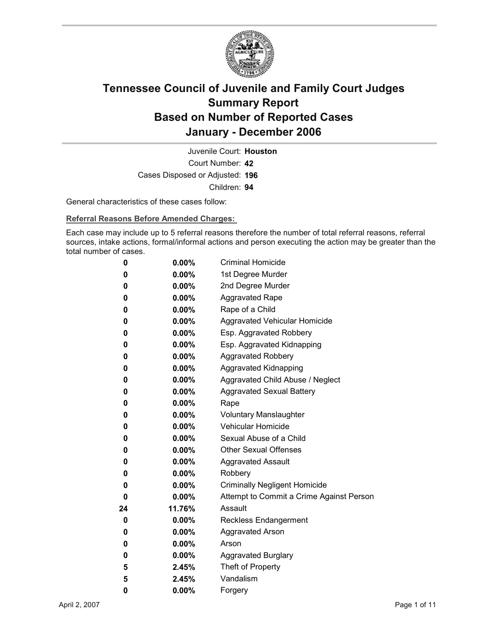

Court Number: **42** Juvenile Court: **Houston** Cases Disposed or Adjusted: **196** Children: **94**

General characteristics of these cases follow:

**Referral Reasons Before Amended Charges:** 

Each case may include up to 5 referral reasons therefore the number of total referral reasons, referral sources, intake actions, formal/informal actions and person executing the action may be greater than the total number of cases.

| 0  | $0.00\%$ | <b>Criminal Homicide</b>                 |
|----|----------|------------------------------------------|
| 0  | $0.00\%$ | 1st Degree Murder                        |
| 0  | $0.00\%$ | 2nd Degree Murder                        |
| 0  | $0.00\%$ | <b>Aggravated Rape</b>                   |
| 0  | $0.00\%$ | Rape of a Child                          |
| 0  | $0.00\%$ | Aggravated Vehicular Homicide            |
| 0  | $0.00\%$ | Esp. Aggravated Robbery                  |
| 0  | $0.00\%$ | Esp. Aggravated Kidnapping               |
| 0  | $0.00\%$ | Aggravated Robbery                       |
| 0  | $0.00\%$ | <b>Aggravated Kidnapping</b>             |
| 0  | $0.00\%$ | Aggravated Child Abuse / Neglect         |
| 0  | $0.00\%$ | <b>Aggravated Sexual Battery</b>         |
| 0  | $0.00\%$ | Rape                                     |
| 0  | $0.00\%$ | <b>Voluntary Manslaughter</b>            |
| 0  | $0.00\%$ | <b>Vehicular Homicide</b>                |
| 0  | $0.00\%$ | Sexual Abuse of a Child                  |
| 0  | $0.00\%$ | <b>Other Sexual Offenses</b>             |
| 0  | $0.00\%$ | <b>Aggravated Assault</b>                |
| 0  | $0.00\%$ | Robbery                                  |
| 0  | $0.00\%$ | <b>Criminally Negligent Homicide</b>     |
| 0  | $0.00\%$ | Attempt to Commit a Crime Against Person |
| 24 | 11.76%   | Assault                                  |
| 0  | $0.00\%$ | <b>Reckless Endangerment</b>             |
| 0  | $0.00\%$ | <b>Aggravated Arson</b>                  |
| 0  | $0.00\%$ | Arson                                    |
| 0  | $0.00\%$ | <b>Aggravated Burglary</b>               |
| 5  | 2.45%    | Theft of Property                        |
| 5  | 2.45%    | Vandalism                                |
| 0  | 0.00%    | Forgery                                  |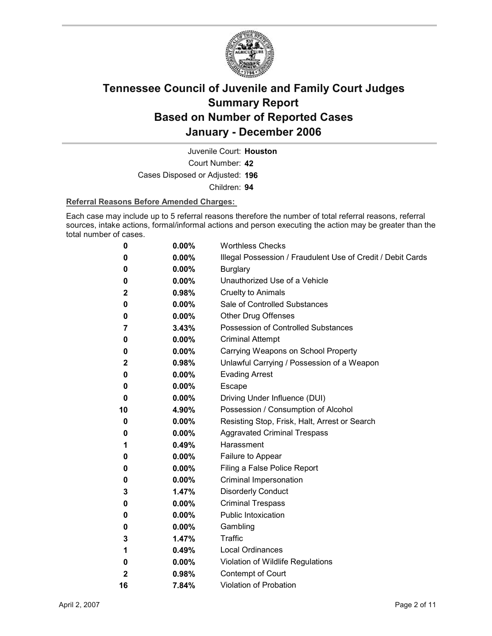

Court Number: **42** Juvenile Court: **Houston**

Cases Disposed or Adjusted: **196**

Children: **94**

#### **Referral Reasons Before Amended Charges:**

Each case may include up to 5 referral reasons therefore the number of total referral reasons, referral sources, intake actions, formal/informal actions and person executing the action may be greater than the total number of cases.

| 0            | 0.00%    | <b>Worthless Checks</b>                                     |
|--------------|----------|-------------------------------------------------------------|
| 0            | 0.00%    | Illegal Possession / Fraudulent Use of Credit / Debit Cards |
| 0            | 0.00%    | <b>Burglary</b>                                             |
| 0            | 0.00%    | Unauthorized Use of a Vehicle                               |
| 2            | 0.98%    | <b>Cruelty to Animals</b>                                   |
| 0            | $0.00\%$ | Sale of Controlled Substances                               |
| 0            | $0.00\%$ | <b>Other Drug Offenses</b>                                  |
| 7            | 3.43%    | Possession of Controlled Substances                         |
| 0            | $0.00\%$ | <b>Criminal Attempt</b>                                     |
| 0            | $0.00\%$ | Carrying Weapons on School Property                         |
| $\mathbf{2}$ | 0.98%    | Unlawful Carrying / Possession of a Weapon                  |
| 0            | $0.00\%$ | <b>Evading Arrest</b>                                       |
| 0            | 0.00%    | <b>Escape</b>                                               |
| 0            | $0.00\%$ | Driving Under Influence (DUI)                               |
| 10           | 4.90%    | Possession / Consumption of Alcohol                         |
| 0            | $0.00\%$ | Resisting Stop, Frisk, Halt, Arrest or Search               |
| 0            | $0.00\%$ | <b>Aggravated Criminal Trespass</b>                         |
| 1            | 0.49%    | Harassment                                                  |
| 0            | $0.00\%$ | Failure to Appear                                           |
| 0            | $0.00\%$ | Filing a False Police Report                                |
| 0            | $0.00\%$ | Criminal Impersonation                                      |
| 3            | 1.47%    | <b>Disorderly Conduct</b>                                   |
| 0            | $0.00\%$ | <b>Criminal Trespass</b>                                    |
| 0            | 0.00%    | Public Intoxication                                         |
| 0            | $0.00\%$ | Gambling                                                    |
| 3            | 1.47%    | <b>Traffic</b>                                              |
| 1            | 0.49%    | <b>Local Ordinances</b>                                     |
| 0            | 0.00%    | Violation of Wildlife Regulations                           |
| $\mathbf{2}$ | 0.98%    | Contempt of Court                                           |
| 16           | 7.84%    | <b>Violation of Probation</b>                               |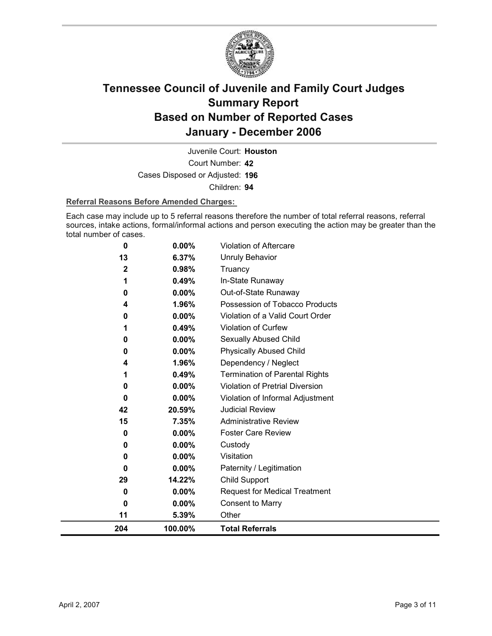

Court Number: **42** Juvenile Court: **Houston** Cases Disposed or Adjusted: **196** Children: **94**

#### **Referral Reasons Before Amended Charges:**

Each case may include up to 5 referral reasons therefore the number of total referral reasons, referral sources, intake actions, formal/informal actions and person executing the action may be greater than the total number of cases.

| 204 | 100.00%  | <b>Total Referrals</b>                 |
|-----|----------|----------------------------------------|
| 11  | 5.39%    | Other                                  |
| 0   | 0.00%    | <b>Consent to Marry</b>                |
| 0   | $0.00\%$ | <b>Request for Medical Treatment</b>   |
| 29  | 14.22%   | <b>Child Support</b>                   |
| 0   | 0.00%    | Paternity / Legitimation               |
| 0   | 0.00%    | Visitation                             |
| 0   | 0.00%    | Custody                                |
| 0   | $0.00\%$ | <b>Foster Care Review</b>              |
| 15  | 7.35%    | <b>Administrative Review</b>           |
| 42  | 20.59%   | <b>Judicial Review</b>                 |
| 0   | 0.00%    | Violation of Informal Adjustment       |
| 0   | 0.00%    | <b>Violation of Pretrial Diversion</b> |
| 1   | 0.49%    | <b>Termination of Parental Rights</b>  |
| 4   | 1.96%    | Dependency / Neglect                   |
| 0   | $0.00\%$ | <b>Physically Abused Child</b>         |
| 0   | 0.00%    | <b>Sexually Abused Child</b>           |
|     | 0.49%    | Violation of Curfew                    |
| 0   | 0.00%    | Violation of a Valid Court Order       |
| 4   | 1.96%    | Possession of Tobacco Products         |
| 0   | 0.00%    | Out-of-State Runaway                   |
| 1   | 0.49%    | In-State Runaway                       |
| 2   | 0.98%    | Truancy                                |
| 13  | 6.37%    | <b>Unruly Behavior</b>                 |
| 0   | 0.00%    | Violation of Aftercare                 |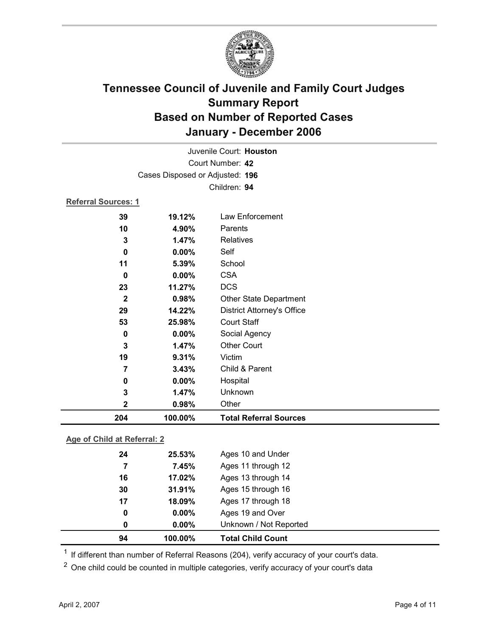

|                            |                                 | Juvenile Court: Houston           |  |
|----------------------------|---------------------------------|-----------------------------------|--|
|                            | Court Number: 42                |                                   |  |
|                            | Cases Disposed or Adjusted: 196 |                                   |  |
|                            |                                 | Children: 94                      |  |
| <b>Referral Sources: 1</b> |                                 |                                   |  |
| 39                         | 19.12%                          | Law Enforcement                   |  |
| 10                         | 4.90%                           | Parents                           |  |
| 3                          | 1.47%                           | Relatives                         |  |
| 0                          | 0.00%                           | Self                              |  |
| 11                         | 5.39%                           | School                            |  |
| $\bf{0}$                   | 0.00%                           | <b>CSA</b>                        |  |
| 23                         | 11.27%                          | <b>DCS</b>                        |  |
| $\mathbf{2}$               | 0.98%                           | <b>Other State Department</b>     |  |
| 29                         | 14.22%                          | <b>District Attorney's Office</b> |  |
| 53                         | 25.98%                          | <b>Court Staff</b>                |  |
| 0                          | 0.00%                           | Social Agency                     |  |
| $\mathbf{3}$               | 1.47%                           | <b>Other Court</b>                |  |
| 19                         | 9.31%                           | Victim                            |  |
| 7                          | 3.43%                           | Child & Parent                    |  |
| 0                          | 0.00%                           | Hospital                          |  |
| 3                          | 1.47%                           | Unknown                           |  |
| $\mathbf 2$                | 0.98%                           | Other                             |  |
| 204                        | 100.00%                         | <b>Total Referral Sources</b>     |  |

### **Age of Child at Referral: 2**

| 0  | $0.00\%$ | Unknown / Not Reported |  |
|----|----------|------------------------|--|
| 0  | $0.00\%$ | Ages 19 and Over       |  |
| 17 | 18.09%   | Ages 17 through 18     |  |
| 30 | 31.91%   | Ages 15 through 16     |  |
| 16 | 17.02%   | Ages 13 through 14     |  |
| 7  | 7.45%    | Ages 11 through 12     |  |
| 24 | 25.53%   | Ages 10 and Under      |  |
|    |          |                        |  |

<sup>1</sup> If different than number of Referral Reasons (204), verify accuracy of your court's data.

<sup>2</sup> One child could be counted in multiple categories, verify accuracy of your court's data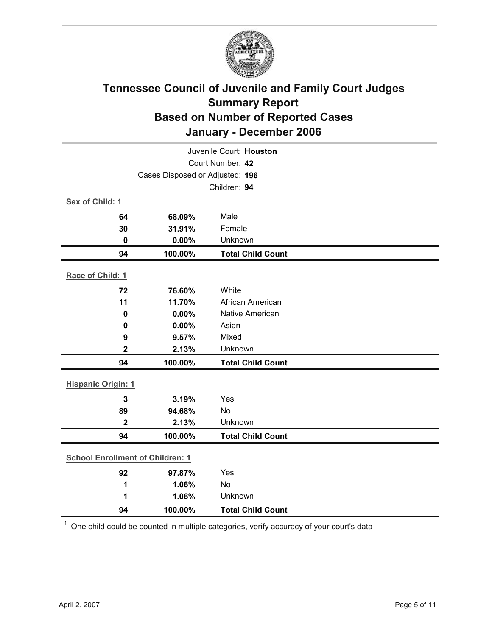

| Juvenile Court: Houston                 |         |                          |  |  |  |
|-----------------------------------------|---------|--------------------------|--|--|--|
| Court Number: 42                        |         |                          |  |  |  |
| Cases Disposed or Adjusted: 196         |         |                          |  |  |  |
|                                         |         | Children: 94             |  |  |  |
| Sex of Child: 1                         |         |                          |  |  |  |
| 64                                      | 68.09%  | Male                     |  |  |  |
| 30                                      | 31.91%  | Female                   |  |  |  |
| 0                                       | 0.00%   | Unknown                  |  |  |  |
| 94                                      | 100.00% | <b>Total Child Count</b> |  |  |  |
| Race of Child: 1                        |         |                          |  |  |  |
| 72                                      | 76.60%  | White                    |  |  |  |
| 11                                      | 11.70%  | African American         |  |  |  |
| $\mathbf 0$                             | 0.00%   | Native American          |  |  |  |
| 0                                       | 0.00%   | Asian                    |  |  |  |
| 9                                       | 9.57%   | Mixed                    |  |  |  |
| $\mathbf{2}$                            | 2.13%   | Unknown                  |  |  |  |
| 94                                      | 100.00% | <b>Total Child Count</b> |  |  |  |
| <b>Hispanic Origin: 1</b>               |         |                          |  |  |  |
|                                         |         |                          |  |  |  |
| $\mathbf{3}$                            | 3.19%   | Yes                      |  |  |  |
| 89                                      | 94.68%  | <b>No</b>                |  |  |  |
| $\mathbf{2}$                            | 2.13%   | Unknown                  |  |  |  |
| 94                                      | 100.00% | <b>Total Child Count</b> |  |  |  |
| <b>School Enrollment of Children: 1</b> |         |                          |  |  |  |
| 92                                      | 97.87%  | Yes                      |  |  |  |
| 1                                       | 1.06%   | No                       |  |  |  |
| 1                                       | 1.06%   | Unknown                  |  |  |  |
| 94                                      | 100.00% | <b>Total Child Count</b> |  |  |  |

 $1$  One child could be counted in multiple categories, verify accuracy of your court's data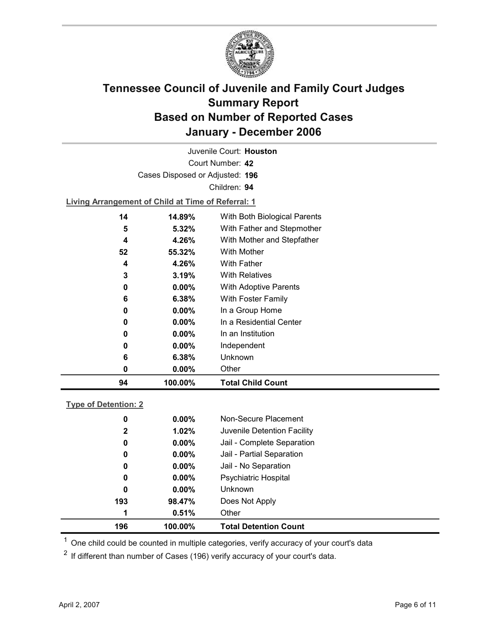

Court Number: **42** Juvenile Court: **Houston** Cases Disposed or Adjusted: **196** Children: **94**

**Living Arrangement of Child at Time of Referral: 1**

| 94 | 100.00%  | <b>Total Child Count</b>     |
|----|----------|------------------------------|
| 0  | 0.00%    | Other                        |
| 6  | 6.38%    | Unknown                      |
| 0  | $0.00\%$ | Independent                  |
| 0  | $0.00\%$ | In an Institution            |
| 0  | $0.00\%$ | In a Residential Center      |
| 0  | $0.00\%$ | In a Group Home              |
| 6  | 6.38%    | With Foster Family           |
| 0  | $0.00\%$ | <b>With Adoptive Parents</b> |
| 3  | 3.19%    | <b>With Relatives</b>        |
| 4  | 4.26%    | <b>With Father</b>           |
| 52 | 55.32%   | With Mother                  |
| 4  | 4.26%    | With Mother and Stepfather   |
| 5  | $5.32\%$ | With Father and Stepmother   |
| 14 | 14.89%   | With Both Biological Parents |
|    |          |                              |

#### **Type of Detention: 2**

| 196          | 100.00%  | <b>Total Detention Count</b> |
|--------------|----------|------------------------------|
| 1            | 0.51%    | Other                        |
| 193          | 98.47%   | Does Not Apply               |
| 0            | $0.00\%$ | <b>Unknown</b>               |
| 0            | $0.00\%$ | <b>Psychiatric Hospital</b>  |
| 0            | $0.00\%$ | Jail - No Separation         |
| 0            | $0.00\%$ | Jail - Partial Separation    |
| 0            | $0.00\%$ | Jail - Complete Separation   |
| $\mathbf{2}$ | 1.02%    | Juvenile Detention Facility  |
| 0            | $0.00\%$ | Non-Secure Placement         |
|              |          |                              |

 $<sup>1</sup>$  One child could be counted in multiple categories, verify accuracy of your court's data</sup>

 $2$  If different than number of Cases (196) verify accuracy of your court's data.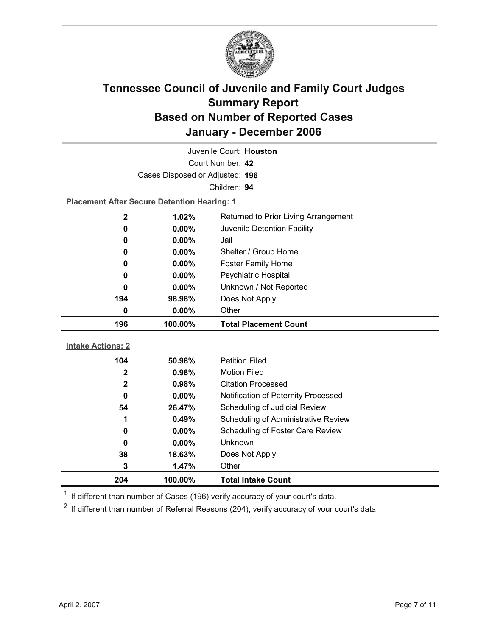

| Juvenile Court: Houston  |                                                                    |                                     |  |  |
|--------------------------|--------------------------------------------------------------------|-------------------------------------|--|--|
| Court Number: 42         |                                                                    |                                     |  |  |
|                          | Cases Disposed or Adjusted: 196                                    |                                     |  |  |
|                          |                                                                    | Children: 94                        |  |  |
|                          | <b>Placement After Secure Detention Hearing: 1</b>                 |                                     |  |  |
| $\mathbf{2}$             | 1.02%<br>Returned to Prior Living Arrangement                      |                                     |  |  |
| 0                        | 0.00%                                                              | Juvenile Detention Facility         |  |  |
| 0                        | $0.00\%$                                                           | Jail                                |  |  |
| 0                        | 0.00%                                                              | Shelter / Group Home                |  |  |
| 0                        | $0.00\%$                                                           | <b>Foster Family Home</b>           |  |  |
| 0                        | 0.00%                                                              | Psychiatric Hospital                |  |  |
| 0                        | Unknown / Not Reported<br>0.00%<br>194<br>Does Not Apply<br>98.98% |                                     |  |  |
|                          |                                                                    |                                     |  |  |
| 0                        | Other<br>0.00%                                                     |                                     |  |  |
| 196                      | 100.00%                                                            | <b>Total Placement Count</b>        |  |  |
|                          |                                                                    |                                     |  |  |
|                          |                                                                    |                                     |  |  |
| <b>Intake Actions: 2</b> |                                                                    |                                     |  |  |
| 104                      | 50.98%                                                             | <b>Petition Filed</b>               |  |  |
| $\overline{2}$           | 0.98%                                                              | <b>Motion Filed</b>                 |  |  |
| $\mathbf 2$              | 0.98%                                                              | <b>Citation Processed</b>           |  |  |
| 0                        | $0.00\%$                                                           | Notification of Paternity Processed |  |  |
| 54                       | 26.47%                                                             | Scheduling of Judicial Review       |  |  |
| 1                        | 0.49%                                                              | Scheduling of Administrative Review |  |  |
| 0                        | 0.00%                                                              | Scheduling of Foster Care Review    |  |  |
| 0                        | 0.00%                                                              | <b>Unknown</b>                      |  |  |
| 38                       | 18.63%                                                             | Does Not Apply                      |  |  |
| 3<br>204                 | 1.47%<br>100.00%                                                   | Other<br><b>Total Intake Count</b>  |  |  |

 $1$  If different than number of Cases (196) verify accuracy of your court's data.

 $2$  If different than number of Referral Reasons (204), verify accuracy of your court's data.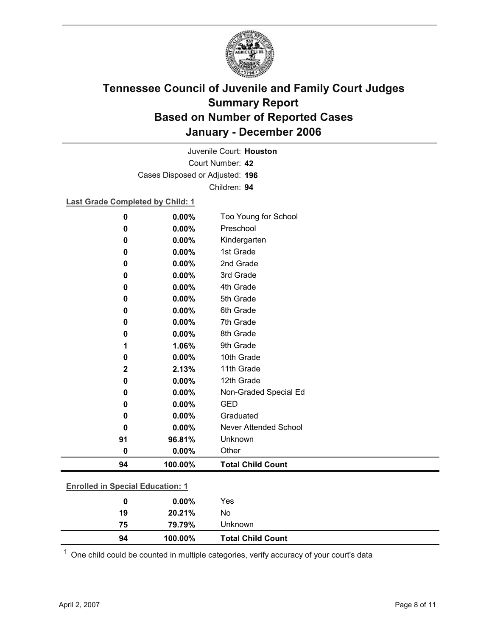

Court Number: **42** Juvenile Court: **Houston** Cases Disposed or Adjusted: **196** Children: **94**

**Last Grade Completed by Child: 1**

| $\bf{0}$                                | 0.00%    | Too Young for School     |  |
|-----------------------------------------|----------|--------------------------|--|
| 0                                       | 0.00%    | Preschool                |  |
| 0                                       | 0.00%    | Kindergarten             |  |
| 0                                       | $0.00\%$ | 1st Grade                |  |
| 0                                       | $0.00\%$ | 2nd Grade                |  |
| 0                                       | 0.00%    | 3rd Grade                |  |
| 0                                       | 0.00%    | 4th Grade                |  |
| 0                                       | 0.00%    | 5th Grade                |  |
| 0                                       | 0.00%    | 6th Grade                |  |
| 0                                       | 0.00%    | 7th Grade                |  |
| 0                                       | 0.00%    | 8th Grade                |  |
| 1                                       | 1.06%    | 9th Grade                |  |
| $\bf{0}$                                | 0.00%    | 10th Grade               |  |
| $\mathbf 2$                             | 2.13%    | 11th Grade               |  |
| 0                                       | 0.00%    | 12th Grade               |  |
| 0                                       | 0.00%    | Non-Graded Special Ed    |  |
| 0                                       | 0.00%    | <b>GED</b>               |  |
| 0                                       | 0.00%    | Graduated                |  |
| 0                                       | 0.00%    | Never Attended School    |  |
| 91                                      | 96.81%   | Unknown                  |  |
| $\bf{0}$                                | 0.00%    | Other                    |  |
| 94                                      | 100.00%  | <b>Total Child Count</b> |  |
|                                         |          |                          |  |
| <b>Enrolled in Special Education: 1</b> |          |                          |  |
| $\bf{0}$                                | 0.00%    | Yes                      |  |
| 19                                      | 20.21%   | No                       |  |

 $1$  One child could be counted in multiple categories, verify accuracy of your court's data

**94 100.00% Total Child Count**

**75 79.79%** Unknown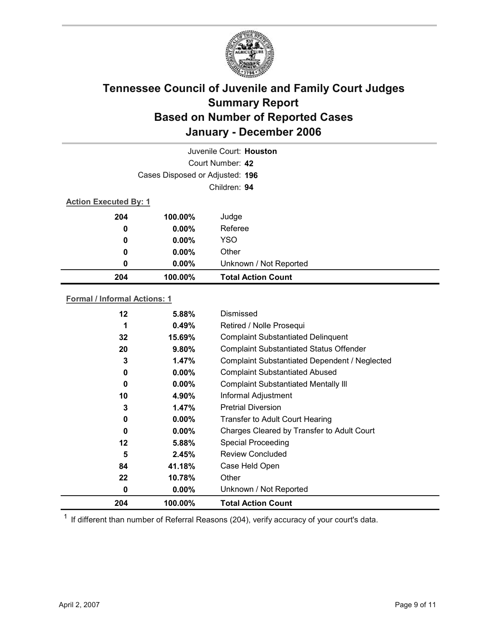

| Juvenile Court: Houston |                                 |                           |  |  |
|-------------------------|---------------------------------|---------------------------|--|--|
|                         | Court Number: 42                |                           |  |  |
|                         | Cases Disposed or Adjusted: 196 |                           |  |  |
|                         | Children: 94                    |                           |  |  |
|                         | <b>Action Executed By: 1</b>    |                           |  |  |
| 204                     | 100.00%                         | Judge                     |  |  |
| 0                       | $0.00\%$                        | Referee                   |  |  |
| 0                       | $0.00\%$                        | <b>YSO</b>                |  |  |
| 0                       | $0.00\%$                        | Other                     |  |  |
| 0                       | $0.00\%$                        | Unknown / Not Reported    |  |  |
| 204                     | 100.00%                         | <b>Total Action Count</b> |  |  |

#### **Formal / Informal Actions: 1**

| 12      | 5.88%    | Dismissed                                      |
|---------|----------|------------------------------------------------|
| 1       | 0.49%    | Retired / Nolle Prosequi                       |
| 32      | 15.69%   | <b>Complaint Substantiated Delinquent</b>      |
| 20      | 9.80%    | <b>Complaint Substantiated Status Offender</b> |
| 3       | 1.47%    | Complaint Substantiated Dependent / Neglected  |
| 0       | $0.00\%$ | <b>Complaint Substantiated Abused</b>          |
| 0       | $0.00\%$ | <b>Complaint Substantiated Mentally III</b>    |
| 10      | 4.90%    | Informal Adjustment                            |
| 3       | 1.47%    | <b>Pretrial Diversion</b>                      |
| 0       | $0.00\%$ | <b>Transfer to Adult Court Hearing</b>         |
| 0       | $0.00\%$ | Charges Cleared by Transfer to Adult Court     |
| $12 \,$ | 5.88%    | <b>Special Proceeding</b>                      |
| 5       | 2.45%    | <b>Review Concluded</b>                        |
| 84      | 41.18%   | Case Held Open                                 |
| 22      | 10.78%   | Other                                          |
| 0       | $0.00\%$ | Unknown / Not Reported                         |
| 204     | 100.00%  | <b>Total Action Count</b>                      |

 $1$  If different than number of Referral Reasons (204), verify accuracy of your court's data.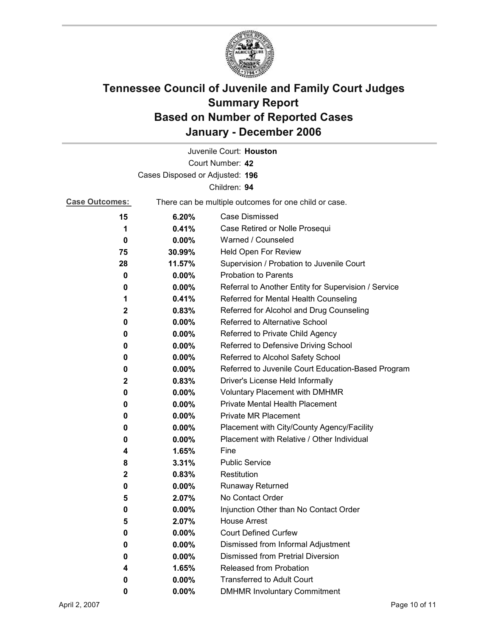

|                                 |                                                       | Juvenile Court: Houston                              |
|---------------------------------|-------------------------------------------------------|------------------------------------------------------|
|                                 |                                                       | Court Number: 42                                     |
| Cases Disposed or Adjusted: 196 |                                                       |                                                      |
|                                 |                                                       | Children: 94                                         |
| <b>Case Outcomes:</b>           | There can be multiple outcomes for one child or case. |                                                      |
| 15                              | 6.20%                                                 | <b>Case Dismissed</b>                                |
| 1                               | 0.41%                                                 | Case Retired or Nolle Prosequi                       |
| 0                               | 0.00%                                                 | Warned / Counseled                                   |
| 75                              | 30.99%                                                | Held Open For Review                                 |
| 28                              | 11.57%                                                | Supervision / Probation to Juvenile Court            |
| 0                               | $0.00\%$                                              | <b>Probation to Parents</b>                          |
| 0                               | $0.00\%$                                              | Referral to Another Entity for Supervision / Service |
| 1                               | 0.41%                                                 | Referred for Mental Health Counseling                |
| 2                               | 0.83%                                                 | Referred for Alcohol and Drug Counseling             |
| 0                               | 0.00%                                                 | Referred to Alternative School                       |
| 0                               | $0.00\%$                                              | Referred to Private Child Agency                     |
| 0                               | $0.00\%$                                              | Referred to Defensive Driving School                 |
| 0                               | $0.00\%$                                              | Referred to Alcohol Safety School                    |
| 0                               | $0.00\%$                                              | Referred to Juvenile Court Education-Based Program   |
| 2                               | 0.83%                                                 | Driver's License Held Informally                     |
| 0                               | $0.00\%$                                              | Voluntary Placement with DMHMR                       |
| 0                               | 0.00%                                                 | <b>Private Mental Health Placement</b>               |
| 0                               | 0.00%                                                 | <b>Private MR Placement</b>                          |
| 0                               | $0.00\%$                                              | Placement with City/County Agency/Facility           |
| 0                               | $0.00\%$                                              | Placement with Relative / Other Individual           |
| 4                               | 1.65%                                                 | Fine                                                 |
| 8                               | 3.31%                                                 | <b>Public Service</b>                                |
| 2                               | 0.83%                                                 | Restitution                                          |
| 0                               | $0.00\%$                                              | <b>Runaway Returned</b>                              |
| 5                               | 2.07%                                                 | No Contact Order                                     |
| 0                               | 0.00%                                                 | Injunction Other than No Contact Order               |
| 5                               | 2.07%                                                 | <b>House Arrest</b>                                  |
| 0                               | 0.00%                                                 | <b>Court Defined Curfew</b>                          |
| 0                               | $0.00\%$                                              | Dismissed from Informal Adjustment                   |
| 0                               | 0.00%                                                 | <b>Dismissed from Pretrial Diversion</b>             |
| 4                               | 1.65%                                                 | <b>Released from Probation</b>                       |
| 0                               | $0.00\%$                                              | <b>Transferred to Adult Court</b>                    |
| 0                               | $0.00\%$                                              | <b>DMHMR Involuntary Commitment</b>                  |